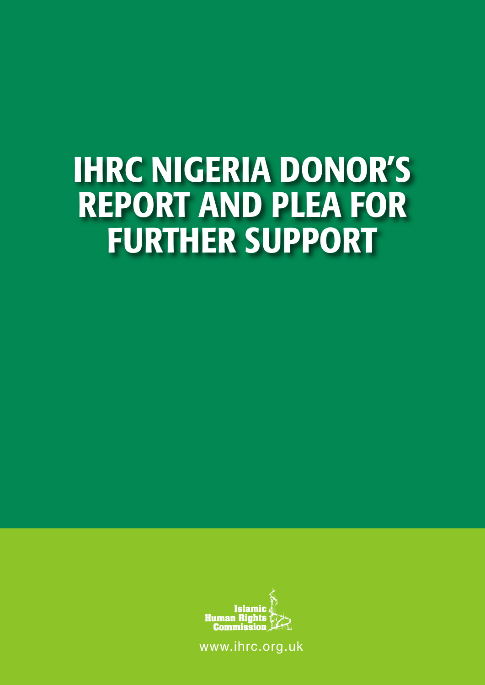## **IHRC NIGERIA DONOR'S REPORT AND PLEA FOR FURTHER SUPPORT**



www.ihrc.org.uk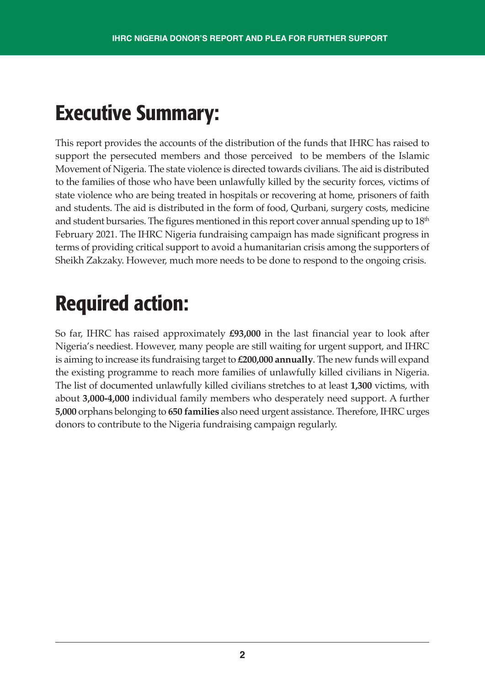### **Executive Summary:**

This report provides the accounts of the distribution of the funds that IHRC has raised to support the persecuted members and those perceived to be members of the Islamic Movement of Nigeria. The state violence is directed towards civilians. The aid is distributed to the families of those who have been unlawfully killed by the security forces, victims of state violence who are being treated in hospitals or recovering at home, prisoners of faith and students. The aid is distributed in the form of food, Qurbani, surgery costs, medicine and student bursaries. The figures mentioned in this report cover annual spending up to  $18<sup>th</sup>$ February 2021. The IHRC Nigeria fundraising campaign has made significant progress in terms of providing critical support to avoid a humanitarian crisis among the supporters of Sheikh Zakzaky. However, much more needs to be done to respond to the ongoing crisis.

## **Required action:**

So far, IHRC has raised approximately **£93,000** in the last financial year to look after Nigeria's neediest. However, many people are still waiting for urgent support, and IHRC is aiming to increase its fundraising target to **£200,000 annually**. The new funds will expand the existing programme to reach more families of unlawfully killed civilians in Nigeria. The list of documented unlawfully killed civilians stretches to at least **1,300** victims, with about **3,000-4,000** individual family members who desperately need support. A further **5,000** orphans belonging to **650 families** also need urgent assistance. Therefore, IHRC urges donors to contribute to the Nigeria fundraising campaign regularly.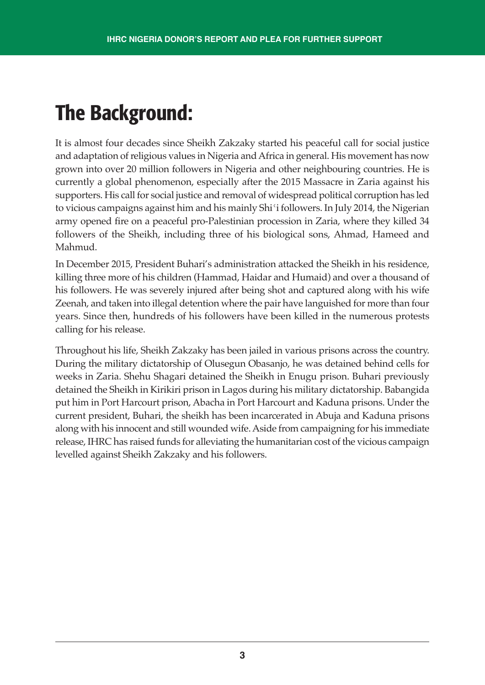## **The Background:**

It is almost four decades since Sheikh Zakzaky started his peaceful call for social justice and adaptation of religious values in Nigeria and Africa in general. His movement has now grown into over 20 million followers in Nigeria and other neighbouring countries. He is currently a global phenomenon, especially after the 2015 Massacre in Zaria against his supporters. His call for social justice and removal of widespread political corruption has led to vicious campaigns against him and his mainly Shiʿi followers. In July 2014, the Nigerian army opened fire on a peaceful pro-Palestinian procession in Zaria, where they killed 34 followers of the Sheikh, including three of his biological sons, Ahmad, Hameed and Mahmud.

In December 2015, President Buhari's administration attacked the Sheikh in his residence, killing three more of his children (Hammad, Haidar and Humaid) and over a thousand of his followers. He was severely injured after being shot and captured along with his wife Zeenah, and taken into illegal detention where the pair have languished for more than four years. Since then, hundreds of his followers have been killed in the numerous protests calling for his release.

Throughout his life, Sheikh Zakzaky has been jailed in various prisons across the country. During the military dictatorship of Olusegun Obasanjo, he was detained behind cells for weeks in Zaria. Shehu Shagari detained the Sheikh in Enugu prison. Buhari previously detained the Sheikh in Kirikiri prison in Lagos during his military dictatorship. Babangida put him in Port Harcourt prison, Abacha in Port Harcourt and Kaduna prisons. Under the current president, Buhari, the sheikh has been incarcerated in Abuja and Kaduna prisons along with his innocent and still wounded wife.Aside from campaigning for his immediate release, IHRC has raised funds for alleviating the humanitarian cost of the vicious campaign levelled against Sheikh Zakzaky and his followers.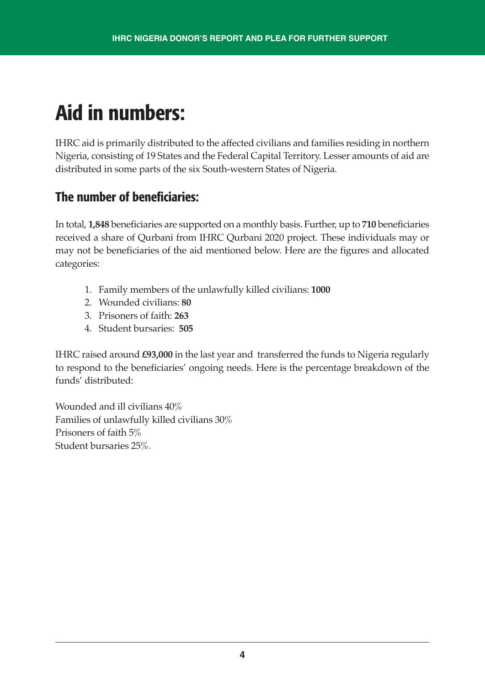## **Aid in numbers:**

IHRC aid is primarily distributed to the affected civilians and families residing in northern Nigeria, consisting of 19 States and the Federal Capital Territory. Lesser amounts of aid are distributed in some parts of the six South-western States of Nigeria.

#### **The number of beneficiaries:**

In total, **1,848** beneficiaries are supported on a monthly basis. Further, up to **710** beneficiaries received a share of Qurbani from IHRC Qurbani 2020 project. These individuals may or may not be beneficiaries of the aid mentioned below. Here are the figures and allocated categories:

- 1. Family members of the unlawfully killed civilians: **1000**
- 2. Wounded civilians: **80**
- 3. Prisoners of faith: **263**
- 4. Student bursaries: **505**

IHRC raised around **£93,000** in the last year and transferred the funds to Nigeria regularly to respond to the beneficiaries' ongoing needs. Here is the percentage breakdown of the funds' distributed:

Wounded and ill civilians 40% Families of unlawfully killed civilians 30% Prisoners of faith 5% Student bursaries 25%.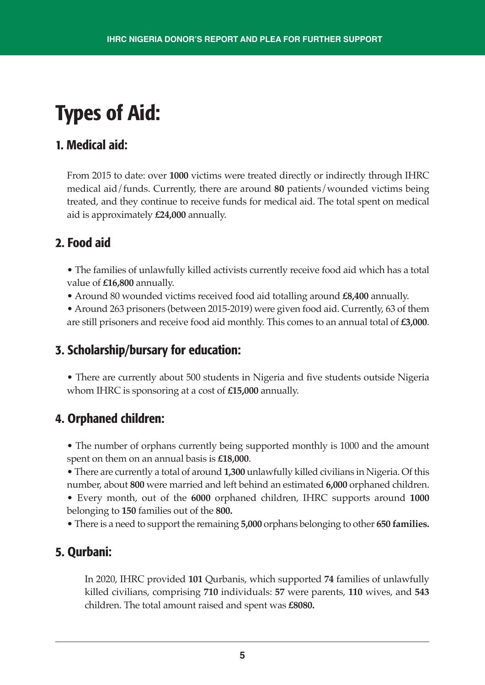## **Types of Aid:**

#### **1. Medical aid:**

From 2015 to date: over **1000** victims were treated directly or indirectly through IHRC medical aid/funds. Currently, there are around **80** patients/wounded victims being treated, and they continue to receive funds for medical aid. The total spent on medical aid is approximately **£24,000** annually.

#### **2. Food aid**

• The families of unlawfully killed activists currently receive food aid which has a total value of **£16,800** annually.

- Around 80 wounded victims received food aid totalling around **£8,400** annually.
- Around 263 prisoners (between 2015-2019) were given food aid. Currently, 63 of them are still prisoners and receive food aid monthly. This comes to an annual total of **£3,000**.

#### **3. Scholarship/bursary for education:**

• There are currently about 500 students in Nigeria and five students outside Nigeria whom IHRC is sponsoring at a cost of **£15,000** annually.

#### **4. Orphaned children:**

• The number of orphans currently being supported monthly is 1000 and the amount spent on them on an annual basis is **£18,000**.

• There are currently a total of around **1,300** unlawfully killed civilians in Nigeria. Of this number, about **800** were married and left behind an estimated **6,000** orphaned children. • Every month, out of the **6000** orphaned children, IHRC supports around **1000**

belonging to **150** families out of the **800.**

• There is a need to support the remaining **5,000** orphans belonging to other **650 families.**

#### **5. Qurbani:**

In 2020, IHRC provided **101** Qurbanis, which supported **74** families of unlawfully killed civilians, comprising **710** individuals: **57** were parents, **110** wives, and **543** children. The total amount raised and spent was **£8080.**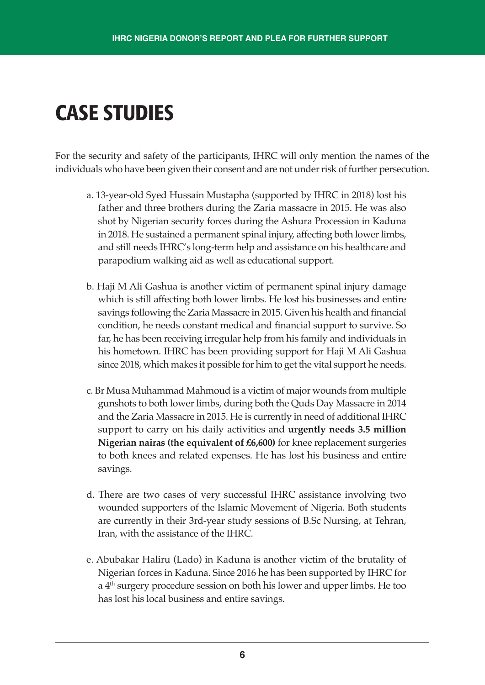## **CASE STUDIES**

For the security and safety of the participants, IHRC will only mention the names of the individuals who have been given their consent and are not under risk of further persecution.

- a. 13-year-old Syed Hussain Mustapha (supported by IHRC in 2018) lost his father and three brothers during the Zaria massacre in 2015. He was also shot by Nigerian security forces during the Ashura Procession in Kaduna in 2018. He sustained a permanent spinal injury, affecting both lower limbs, and still needs IHRC's long-term help and assistance on his healthcare and parapodium walking aid as well as educational support.
- b. Haji M Ali Gashua is another victim of permanent spinal injury damage which is still affecting both lower limbs. He lost his businesses and entire savings following the Zaria Massacre in 2015. Given his health and financial condition, he needs constant medical and financial support to survive. So far, he has been receiving irregular help from his family and individuals in his hometown. IHRC has been providing support for Haji M Ali Gashua since 2018, which makes it possible for him to get the vital support he needs.
- c. Br Musa Muhammad Mahmoud is a victim of major wounds from multiple gunshots to both lower limbs, during both the Quds Day Massacre in 2014 and the Zaria Massacre in 2015. He is currently in need of additional IHRC support to carry on his daily activities and **urgently needs 3.5 million Nigerian nairas (the equivalent of £6,600)** for knee replacement surgeries to both knees and related expenses. He has lost his business and entire savings.
- d. There are two cases of very successful IHRC assistance involving two wounded supporters of the Islamic Movement of Nigeria. Both students are currently in their 3rd-year study sessions of B.Sc Nursing, at Tehran, Iran, with the assistance of the IHRC.
- e. Abubakar Haliru (Lado) in Kaduna is another victim of the brutality of Nigerian forces in Kaduna. Since 2016 he has been supported by IHRC for a 4th surgery procedure session on both his lower and upper limbs. He too has lost his local business and entire savings.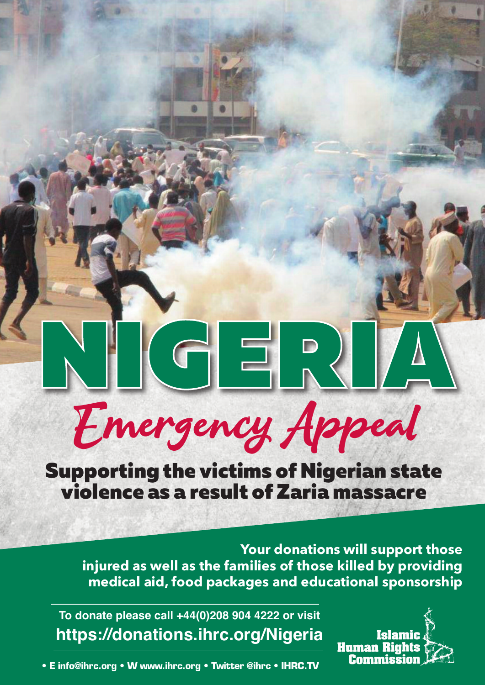# $\begin{picture}(180,10) \put(0,0){\line(1,0){10}} \put(15,0){\line(1,0){10}} \put(15,0){\line(1,0){10}} \put(15,0){\line(1,0){10}} \put(15,0){\line(1,0){10}} \put(15,0){\line(1,0){10}} \put(15,0){\line(1,0){10}} \put(15,0){\line(1,0){10}} \put(15,0){\line(1,0){10}} \put(15,0){\line(1,0){10}} \put(15,0){\line(1,0){10}} \put(15,0){\line($ Emergency Appeal

Supporting the victims of Nigerian state violence as a result of Zaria massacre

**Your donations will support those injured as well as the families of those killed by providing medical aid, food packages and educational sponsorship**

**To donate please call +44(0)208 904 4222 or visit https://donations.ihrc.org/Nigeria**



**• E info@ihrc.org • W www.ihrc.org • Twitter @ihrc • IHRC.TV**